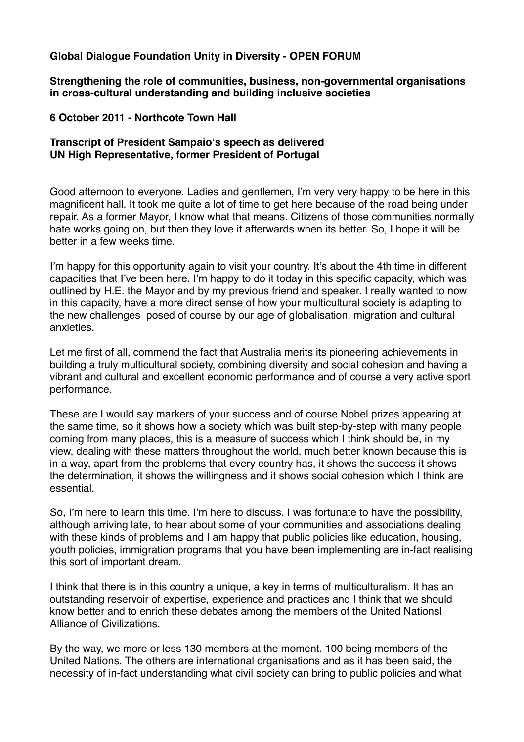## **Global Dialogue Foundation Unity in Diversity - OPEN FORUM**

**Strengthening the role of communities, business, non-governmental organisations in cross-cultural understanding and building inclusive societies**

## **6 October 2011 - Northcote Town Hall**

## **Transcript of President Sampaio's speech as delivered UN High Representative, former President of Portugal**

Good afternoon to everyone. Ladies and gentlemen, I'm very very happy to be here in this magnificent hall. It took me quite a lot of time to get here because of the road being under repair. As a former Mayor, I know what that means. Citizens of those communities normally hate works going on, but then they love it afterwards when its better. So, I hope it will be better in a few weeks time.

I'm happy for this opportunity again to visit your country. It's about the 4th time in different capacities that I've been here. I'm happy to do it today in this specific capacity, which was outlined by H.E. the Mayor and by my previous friend and speaker. I really wanted to now in this capacity, have a more direct sense of how your multicultural society is adapting to the new challenges posed of course by our age of globalisation, migration and cultural anxieties.

Let me first of all, commend the fact that Australia merits its pioneering achievements in building a truly multicultural society, combining diversity and social cohesion and having a vibrant and cultural and excellent economic performance and of course a very active sport performance.

These are I would say markers of your success and of course Nobel prizes appearing at the same time, so it shows how a society which was built step-by-step with many people coming from many places, this is a measure of success which I think should be, in my view, dealing with these matters throughout the world, much better known because this is in a way, apart from the problems that every country has, it shows the success it shows the determination, it shows the willingness and it shows social cohesion which I think are essential.

So, I'm here to learn this time. I'm here to discuss. I was fortunate to have the possibility, although arriving late, to hear about some of your communities and associations dealing with these kinds of problems and I am happy that public policies like education, housing, youth policies, immigration programs that you have been implementing are in-fact realising this sort of important dream.

I think that there is in this country a unique, a key in terms of multiculturalism. It has an outstanding reservoir of expertise, experience and practices and I think that we should know better and to enrich these debates among the members of the United Nationsl Alliance of Civilizations.

By the way, we more or less 130 members at the moment. 100 being members of the United Nations. The others are international organisations and as it has been said, the necessity of in-fact understanding what civil society can bring to public policies and what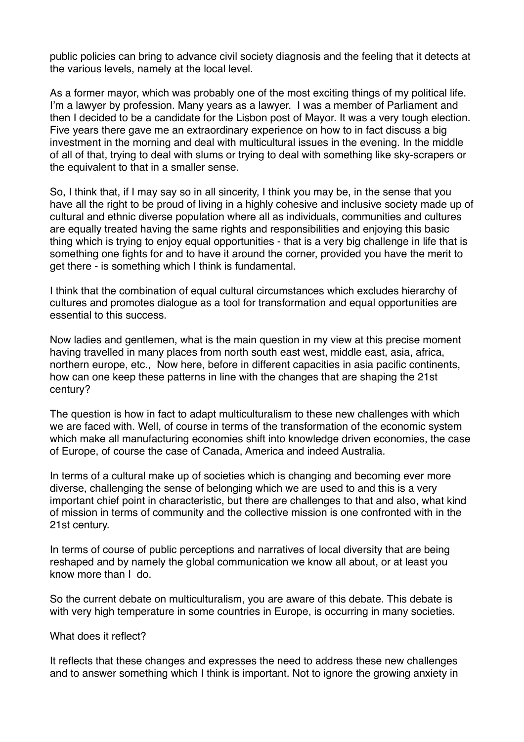public policies can bring to advance civil society diagnosis and the feeling that it detects at the various levels, namely at the local level.

As a former mayor, which was probably one of the most exciting things of my political life. I'm a lawyer by profession. Many years as a lawyer. I was a member of Parliament and then I decided to be a candidate for the Lisbon post of Mayor. It was a very tough election. Five years there gave me an extraordinary experience on how to in fact discuss a big investment in the morning and deal with multicultural issues in the evening. In the middle of all of that, trying to deal with slums or trying to deal with something like sky-scrapers or the equivalent to that in a smaller sense.

So, I think that, if I may say so in all sincerity, I think you may be, in the sense that you have all the right to be proud of living in a highly cohesive and inclusive society made up of cultural and ethnic diverse population where all as individuals, communities and cultures are equally treated having the same rights and responsibilities and enjoying this basic thing which is trying to enjoy equal opportunities - that is a very big challenge in life that is something one fights for and to have it around the corner, provided you have the merit to get there - is something which I think is fundamental.

I think that the combination of equal cultural circumstances which excludes hierarchy of cultures and promotes dialogue as a tool for transformation and equal opportunities are essential to this success.

Now ladies and gentlemen, what is the main question in my view at this precise moment having travelled in many places from north south east west, middle east, asia, africa, northern europe, etc., Now here, before in different capacities in asia pacific continents, how can one keep these patterns in line with the changes that are shaping the 21st century?

The question is how in fact to adapt multiculturalism to these new challenges with which we are faced with. Well, of course in terms of the transformation of the economic system which make all manufacturing economies shift into knowledge driven economies, the case of Europe, of course the case of Canada, America and indeed Australia.

In terms of a cultural make up of societies which is changing and becoming ever more diverse, challenging the sense of belonging which we are used to and this is a very important chief point in characteristic, but there are challenges to that and also, what kind of mission in terms of community and the collective mission is one confronted with in the 21st century.

In terms of course of public perceptions and narratives of local diversity that are being reshaped and by namely the global communication we know all about, or at least you know more than I do.

So the current debate on multiculturalism, you are aware of this debate. This debate is with very high temperature in some countries in Europe, is occurring in many societies.

## What does it reflect?

It reflects that these changes and expresses the need to address these new challenges and to answer something which I think is important. Not to ignore the growing anxiety in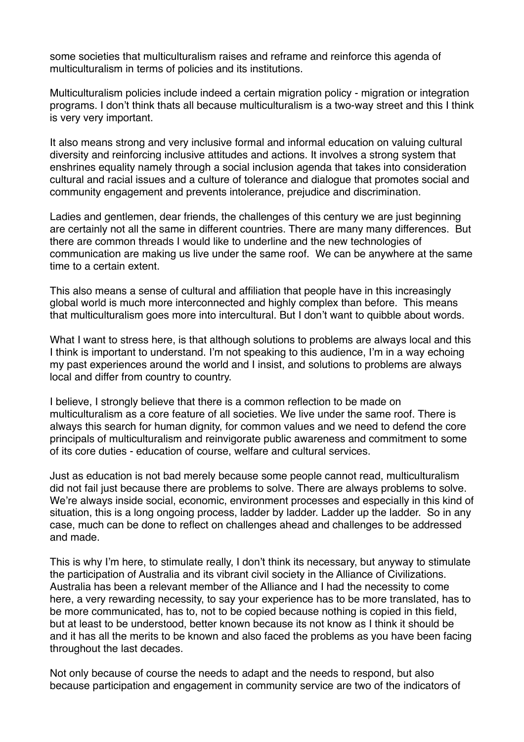some societies that multiculturalism raises and reframe and reinforce this agenda of multiculturalism in terms of policies and its institutions.

Multiculturalism policies include indeed a certain migration policy - migration or integration programs. I don't think thats all because multiculturalism is a two-way street and this I think is very very important.

It also means strong and very inclusive formal and informal education on valuing cultural diversity and reinforcing inclusive attitudes and actions. It involves a strong system that enshrines equality namely through a social inclusion agenda that takes into consideration cultural and racial issues and a culture of tolerance and dialogue that promotes social and community engagement and prevents intolerance, prejudice and discrimination.

Ladies and gentlemen, dear friends, the challenges of this century we are just beginning are certainly not all the same in different countries. There are many many differences. But there are common threads I would like to underline and the new technologies of communication are making us live under the same roof. We can be anywhere at the same time to a certain extent.

This also means a sense of cultural and affiliation that people have in this increasingly global world is much more interconnected and highly complex than before. This means that multiculturalism goes more into intercultural. But I don't want to quibble about words.

What I want to stress here, is that although solutions to problems are always local and this I think is important to understand. I'm not speaking to this audience, I'm in a way echoing my past experiences around the world and I insist, and solutions to problems are always local and differ from country to country.

I believe, I strongly believe that there is a common reflection to be made on multiculturalism as a core feature of all societies. We live under the same roof. There is always this search for human dignity, for common values and we need to defend the core principals of multiculturalism and reinvigorate public awareness and commitment to some of its core duties - education of course, welfare and cultural services.

Just as education is not bad merely because some people cannot read, multiculturalism did not fail just because there are problems to solve. There are always problems to solve. We're always inside social, economic, environment processes and especially in this kind of situation, this is a long ongoing process, ladder by ladder. Ladder up the ladder. So in any case, much can be done to reflect on challenges ahead and challenges to be addressed and made.

This is why I'm here, to stimulate really, I don't think its necessary, but anyway to stimulate the participation of Australia and its vibrant civil society in the Alliance of Civilizations. Australia has been a relevant member of the Alliance and I had the necessity to come here, a very rewarding necessity, to say your experience has to be more translated, has to be more communicated, has to, not to be copied because nothing is copied in this field, but at least to be understood, better known because its not know as I think it should be and it has all the merits to be known and also faced the problems as you have been facing throughout the last decades.

Not only because of course the needs to adapt and the needs to respond, but also because participation and engagement in community service are two of the indicators of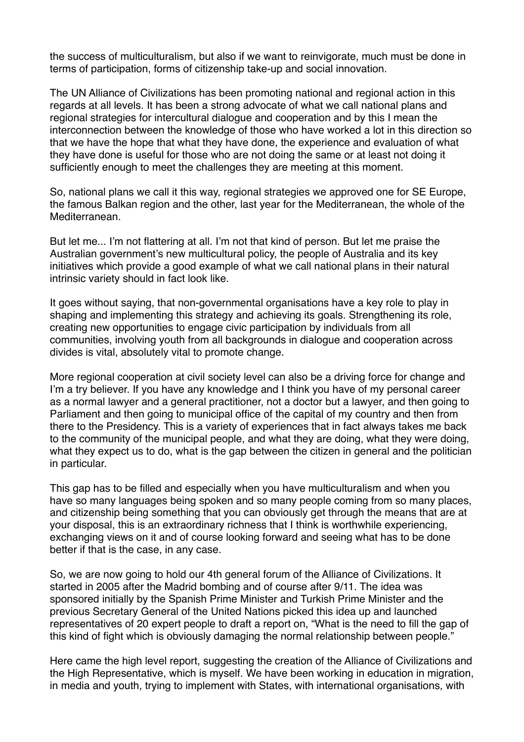the success of multiculturalism, but also if we want to reinvigorate, much must be done in terms of participation, forms of citizenship take-up and social innovation.

The UN Alliance of Civilizations has been promoting national and regional action in this regards at all levels. It has been a strong advocate of what we call national plans and regional strategies for intercultural dialogue and cooperation and by this I mean the interconnection between the knowledge of those who have worked a lot in this direction so that we have the hope that what they have done, the experience and evaluation of what they have done is useful for those who are not doing the same or at least not doing it sufficiently enough to meet the challenges they are meeting at this moment.

So, national plans we call it this way, regional strategies we approved one for SE Europe, the famous Balkan region and the other, last year for the Mediterranean, the whole of the Mediterranean.

But let me... I'm not flattering at all. I'm not that kind of person. But let me praise the Australian government's new multicultural policy, the people of Australia and its key initiatives which provide a good example of what we call national plans in their natural intrinsic variety should in fact look like.

It goes without saying, that non-governmental organisations have a key role to play in shaping and implementing this strategy and achieving its goals. Strengthening its role, creating new opportunities to engage civic participation by individuals from all communities, involving youth from all backgrounds in dialogue and cooperation across divides is vital, absolutely vital to promote change.

More regional cooperation at civil society level can also be a driving force for change and I'm a try believer. If you have any knowledge and I think you have of my personal career as a normal lawyer and a general practitioner, not a doctor but a lawyer, and then going to Parliament and then going to municipal office of the capital of my country and then from there to the Presidency. This is a variety of experiences that in fact always takes me back to the community of the municipal people, and what they are doing, what they were doing, what they expect us to do, what is the gap between the citizen in general and the politician in particular.

This gap has to be filled and especially when you have multiculturalism and when you have so many languages being spoken and so many people coming from so many places, and citizenship being something that you can obviously get through the means that are at your disposal, this is an extraordinary richness that I think is worthwhile experiencing, exchanging views on it and of course looking forward and seeing what has to be done better if that is the case, in any case.

So, we are now going to hold our 4th general forum of the Alliance of Civilizations. It started in 2005 after the Madrid bombing and of course after 9/11. The idea was sponsored initially by the Spanish Prime Minister and Turkish Prime Minister and the previous Secretary General of the United Nations picked this idea up and launched representatives of 20 expert people to draft a report on, "What is the need to fill the gap of this kind of fight which is obviously damaging the normal relationship between people."

Here came the high level report, suggesting the creation of the Alliance of Civilizations and the High Representative, which is myself. We have been working in education in migration, in media and youth, trying to implement with States, with international organisations, with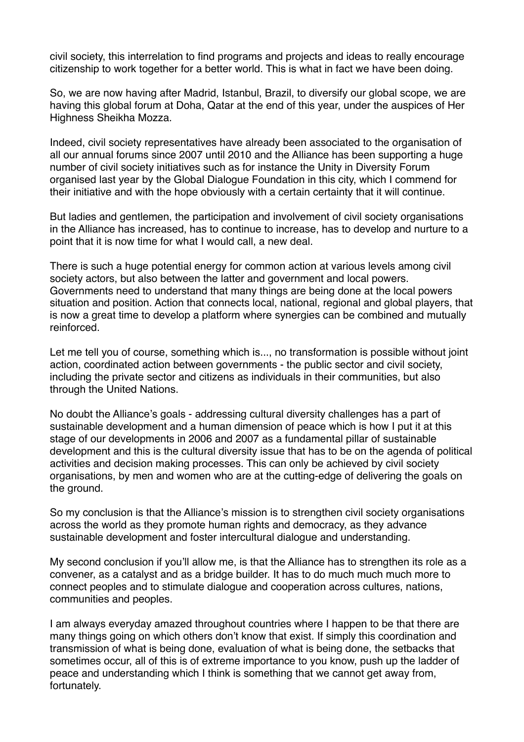civil society, this interrelation to find programs and projects and ideas to really encourage citizenship to work together for a better world. This is what in fact we have been doing.

So, we are now having after Madrid, Istanbul, Brazil, to diversify our global scope, we are having this global forum at Doha, Qatar at the end of this year, under the auspices of Her Highness Sheikha Mozza.

Indeed, civil society representatives have already been associated to the organisation of all our annual forums since 2007 until 2010 and the Alliance has been supporting a huge number of civil society initiatives such as for instance the Unity in Diversity Forum organised last year by the Global Dialogue Foundation in this city, which I commend for their initiative and with the hope obviously with a certain certainty that it will continue.

But ladies and gentlemen, the participation and involvement of civil society organisations in the Alliance has increased, has to continue to increase, has to develop and nurture to a point that it is now time for what I would call, a new deal.

There is such a huge potential energy for common action at various levels among civil society actors, but also between the latter and government and local powers. Governments need to understand that many things are being done at the local powers situation and position. Action that connects local, national, regional and global players, that is now a great time to develop a platform where synergies can be combined and mutually reinforced.

Let me tell you of course, something which is..., no transformation is possible without joint action, coordinated action between governments - the public sector and civil society, including the private sector and citizens as individuals in their communities, but also through the United Nations.

No doubt the Alliance's goals - addressing cultural diversity challenges has a part of sustainable development and a human dimension of peace which is how I put it at this stage of our developments in 2006 and 2007 as a fundamental pillar of sustainable development and this is the cultural diversity issue that has to be on the agenda of political activities and decision making processes. This can only be achieved by civil society organisations, by men and women who are at the cutting-edge of delivering the goals on the ground.

So my conclusion is that the Alliance's mission is to strengthen civil society organisations across the world as they promote human rights and democracy, as they advance sustainable development and foster intercultural dialogue and understanding.

My second conclusion if you'll allow me, is that the Alliance has to strengthen its role as a convener, as a catalyst and as a bridge builder. It has to do much much much more to connect peoples and to stimulate dialogue and cooperation across cultures, nations, communities and peoples.

I am always everyday amazed throughout countries where I happen to be that there are many things going on which others don't know that exist. If simply this coordination and transmission of what is being done, evaluation of what is being done, the setbacks that sometimes occur, all of this is of extreme importance to you know, push up the ladder of peace and understanding which I think is something that we cannot get away from, fortunately.